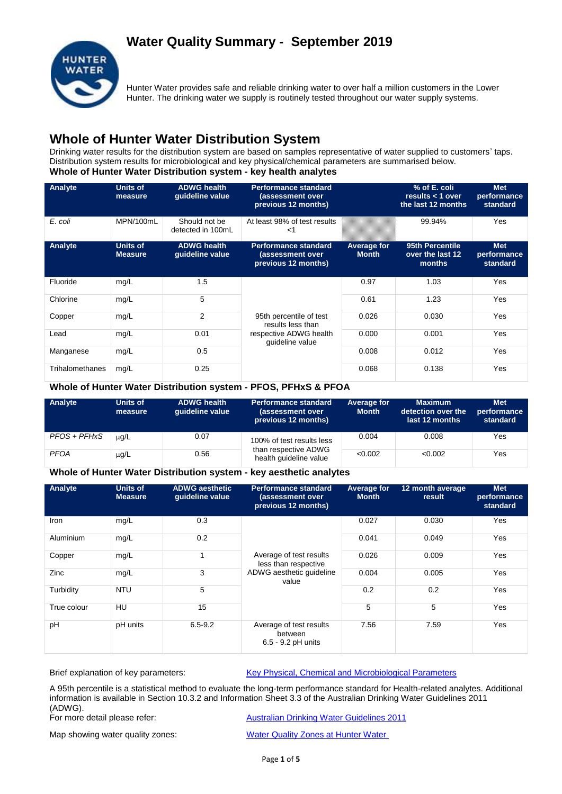## **Water Quality Summary - September 2019**



Hunter Water provides safe and reliable drinking water to over half a million customers in the Lower Hunter. The drinking water we supply is routinely tested throughout our water supply systems.

## **Whole of Hunter Water Distribution System**

Drinking water results for the distribution system are based on samples representative of water supplied to customers' taps. Distribution system results for microbiological and key physical/chemical parameters are summarised below. **Whole of Hunter Water Distribution system - key health analytes**

| Analyte         | Units of<br>measure               | <b>ADWG health</b><br>guideline value | <b>Performance standard</b><br>(assessment over<br>previous 12 months) |                             | % of E. coli<br>results $<$ 1 over<br>the last 12 months | <b>Met</b><br>performance<br>standard |
|-----------------|-----------------------------------|---------------------------------------|------------------------------------------------------------------------|-----------------------------|----------------------------------------------------------|---------------------------------------|
| E. coli         | MPN/100mL                         | Should not be<br>detected in 100mL    | At least 98% of test results<br><1                                     |                             | 99.94%                                                   | Yes                                   |
| Analyte         | <b>Units of</b><br><b>Measure</b> | <b>ADWG health</b><br>quideline value | <b>Performance standard</b><br>(assessment over<br>previous 12 months) | Average for<br><b>Month</b> | 95th Percentile<br>over the last 12<br>months            | <b>Met</b><br>performance<br>standard |
| Fluoride        | mg/L                              | 1.5                                   |                                                                        | 0.97                        | 1.03                                                     | Yes                                   |
| Chlorine        | mg/L                              | 5                                     |                                                                        | 0.61                        | 1.23                                                     | Yes                                   |
| Copper          | mg/L                              | 2                                     | 95th percentile of test<br>results less than                           | 0.026                       | 0.030                                                    | Yes                                   |
| Lead            | mg/L                              | 0.01                                  | respective ADWG health<br>guideline value                              | 0.000                       | 0.001                                                    | Yes                                   |
| Manganese       | mg/L                              | 0.5                                   |                                                                        | 0.008                       | 0.012                                                    | Yes                                   |
| Trihalomethanes | mg/L                              | 0.25                                  |                                                                        | 0.068                       | 0.138                                                    | Yes                                   |

#### **Whole of Hunter Water Distribution system - PFOS, PFHxS & PFOA**

| Analyte      | Units of<br>measure | <b>ADWG health</b><br>quideline value | <b>Performance standard</b><br>(assessment over<br>previous 12 months) | Average for<br><b>Month</b> | <b>Maximum</b><br>detection over the<br>last 12 months | <b>Met</b><br>performance<br>standard |
|--------------|---------------------|---------------------------------------|------------------------------------------------------------------------|-----------------------------|--------------------------------------------------------|---------------------------------------|
| PFOS + PFHxS | $\mu$ g/L           | 0.07                                  | 100% of test results less                                              | 0.004                       | 0.008                                                  | Yes                                   |
| PFOA         | $\mu$ g/L           | 0.56                                  | than respective ADWG<br>health guideline value                         | < 0.002                     | < 0.002                                                | Yes                                   |

#### **Whole of Hunter Water Distribution system - key aesthetic analytes**

| Analyte     | <b>Units of</b><br><b>Measure</b> | <b>ADWG aesthetic</b><br>guideline value | <b>Performance standard</b><br>(assessment over<br>previous 12 months) | Average for<br><b>Month</b> | 12 month average<br>result | <b>Met</b><br>performance<br>standard |
|-------------|-----------------------------------|------------------------------------------|------------------------------------------------------------------------|-----------------------------|----------------------------|---------------------------------------|
| Iron        | mg/L                              | 0.3                                      | Average of test results<br>less than respective                        | 0.027                       | 0.030                      | Yes                                   |
| Aluminium   | mg/L                              | 0.2                                      |                                                                        | 0.041                       | 0.049                      | Yes                                   |
| Copper      | mg/L                              | $\mathbf{1}$                             |                                                                        | 0.026                       | 0.009                      | Yes                                   |
| Zinc        | mg/L                              | 3                                        | ADWG aesthetic quideline<br>value                                      | 0.004                       | 0.005                      | Yes                                   |
| Turbidity   | <b>NTU</b>                        | 5                                        |                                                                        | 0.2                         | 0.2                        | Yes                                   |
| True colour | HU                                | 15                                       |                                                                        | 5                           | 5                          | Yes                                   |
| pH          | pH units                          | $6.5 - 9.2$                              | Average of test results<br>between<br>6.5 - 9.2 pH units               | 7.56                        | 7.59                       | Yes                                   |

Brief explanation of key parameters: [Key Physical, Chemical and Microbiological Parameters](http://www.hunterwater.com.au/Resources/Documents/Fact-Sheets/Water-Quality/Key-WQ-Parameters.pdf)

A 95th percentile is a statistical method to evaluate the long-term performance standard for Health-related analytes. Additional information is available in Section 10.3.2 and Information Sheet 3.3 of the Australian Drinking Water Guidelines 2011 (ADWG).<br>For more detail please refer:

**[Australian Drinking Water Guidelines 2011](http://www.nhmrc.gov.au/guidelines/publications/eh52)** 

Map showing water quality zones: [Water Quality Zones at Hunter Water](http://www.hunterwater.com.au/Resources/Documents/Fact-Sheets/Water-Quality/Water-Supply-Zones---HWC.PDF)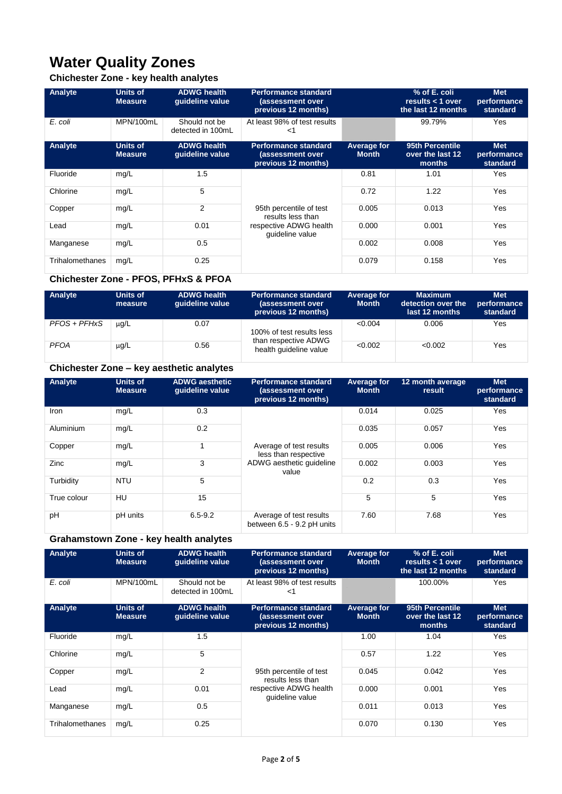# **Water Quality Zones**

## **Chichester Zone - key health analytes**

| Analyte         | <b>Units of</b><br><b>Measure</b> | <b>ADWG health</b><br>quideline value | <b>Performance standard</b><br>(assessment over<br>previous 12 months) |                                    | % of E. coli<br>results $<$ 1 over<br>the last 12 months | <b>Met</b><br>performance<br>standard |
|-----------------|-----------------------------------|---------------------------------------|------------------------------------------------------------------------|------------------------------------|----------------------------------------------------------|---------------------------------------|
| E. coli         | MPN/100mL                         | Should not be<br>detected in 100mL    | At least 98% of test results<br><1                                     |                                    | 99.79%                                                   | Yes                                   |
| Analyte         | <b>Units of</b><br><b>Measure</b> | <b>ADWG health</b><br>guideline value | Performance standard<br>(assessment over<br>previous 12 months)        | <b>Average for</b><br><b>Month</b> | 95th Percentile<br>over the last 12<br>months            | <b>Met</b><br>performance<br>standard |
| Fluoride        | mg/L                              | 1.5                                   |                                                                        | 0.81                               | 1.01                                                     | Yes                                   |
| Chlorine        | mg/L                              | 5                                     |                                                                        | 0.72                               | 1.22                                                     | Yes                                   |
| Copper          | mg/L                              | 2                                     | 95th percentile of test<br>results less than                           | 0.005                              | 0.013                                                    | Yes                                   |
| Lead            | mg/L                              | 0.01                                  | respective ADWG health<br>quideline value                              | 0.000                              | 0.001                                                    | Yes                                   |
| Manganese       | mg/L                              | 0.5                                   |                                                                        | 0.002                              | 0.008                                                    | Yes                                   |
| Trihalomethanes | mg/L                              | 0.25                                  |                                                                        | 0.079                              | 0.158                                                    | Yes                                   |

### **Chichester Zone - PFOS, PFHxS & PFOA**

| Analyte      | Units of<br>measure | <b>ADWG health</b><br>quideline value | <b>Performance standard</b><br>(assessment over<br>previous 12 months) | Average for<br><b>Month</b> | <b>Maximum</b><br>detection over the<br>last 12 months | <b>Met</b><br>performance<br>standard |
|--------------|---------------------|---------------------------------------|------------------------------------------------------------------------|-----------------------------|--------------------------------------------------------|---------------------------------------|
| PFOS + PFHxS | $\mu$ g/L           | 0.07                                  | 100% of test results less                                              | < 0.004                     | 0.006                                                  | Yes                                   |
| <b>PFOA</b>  | $\mu$ g/L           | 0.56                                  | than respective ADWG<br>health quideline value                         | < 0.002                     | < 0.002                                                | Yes                                   |

### **Chichester Zone – key aesthetic analytes**

| Analyte     | <b>Units of</b><br><b>Measure</b> | <b>ADWG aesthetic</b><br>quideline value | <b>Performance standard</b><br>(assessment over<br>previous 12 months) | Average for<br><b>Month</b> | 12 month average<br>result | <b>Met</b><br>performance<br>standard |
|-------------|-----------------------------------|------------------------------------------|------------------------------------------------------------------------|-----------------------------|----------------------------|---------------------------------------|
| Iron        | mg/L                              | 0.3                                      | Average of test results<br>less than respective                        | 0.014                       | 0.025                      | Yes                                   |
| Aluminium   | mg/L                              | 0.2                                      |                                                                        | 0.035                       | 0.057                      | Yes                                   |
| Copper      | mg/L                              |                                          |                                                                        | 0.005                       | 0.006                      | Yes                                   |
| Zinc        | mg/L                              | 3                                        | ADWG aesthetic quideline<br>value                                      | 0.002                       | 0.003                      | Yes                                   |
| Turbidity   | <b>NTU</b>                        | 5                                        |                                                                        | 0.2                         | 0.3                        | Yes                                   |
| True colour | HU                                | 15                                       |                                                                        | 5                           | 5                          | Yes                                   |
| pH          | pH units                          | $6.5 - 9.2$                              | Average of test results<br>between 6.5 - 9.2 pH units                  | 7.60                        | 7.68                       | Yes                                   |

## **Grahamstown Zone - key health analytes**

| Analyte         | <b>Units of</b><br><b>Measure</b> | <b>ADWG health</b><br>guideline value | <b>Performance standard</b><br>(assessment over<br>previous 12 months) | Average for<br><b>Month</b> | % of E. coli<br>results $<$ 1 over<br>the last 12 months | <b>Met</b><br>performance<br>standard |
|-----------------|-----------------------------------|---------------------------------------|------------------------------------------------------------------------|-----------------------------|----------------------------------------------------------|---------------------------------------|
| E. coli         | MPN/100mL                         | Should not be<br>detected in 100mL    | At least 98% of test results<br>$<$ 1                                  |                             | 100.00%                                                  | Yes                                   |
| Analyte         | <b>Units of</b><br><b>Measure</b> | <b>ADWG health</b><br>quideline value | <b>Performance standard</b><br>(assessment over<br>previous 12 months) | Average for<br><b>Month</b> | 95th Percentile<br>over the last 12<br>months            | <b>Met</b><br>performance<br>standard |
| Fluoride        | mg/L                              | 1.5                                   |                                                                        | 1.00                        | 1.04                                                     | Yes                                   |
| Chlorine        | mg/L                              | 5                                     |                                                                        | 0.57                        | 1.22                                                     | Yes                                   |
| Copper          | mg/L                              | $\overline{2}$                        | 95th percentile of test<br>results less than                           | 0.045                       | 0.042                                                    | Yes                                   |
| Lead            | mg/L                              | 0.01                                  | respective ADWG health<br>quideline value                              | 0.000                       | 0.001                                                    | Yes                                   |
| Manganese       | mg/L                              | 0.5                                   |                                                                        | 0.011                       | 0.013                                                    | Yes                                   |
| Trihalomethanes | mg/L                              | 0.25                                  |                                                                        | 0.070                       | 0.130                                                    | Yes                                   |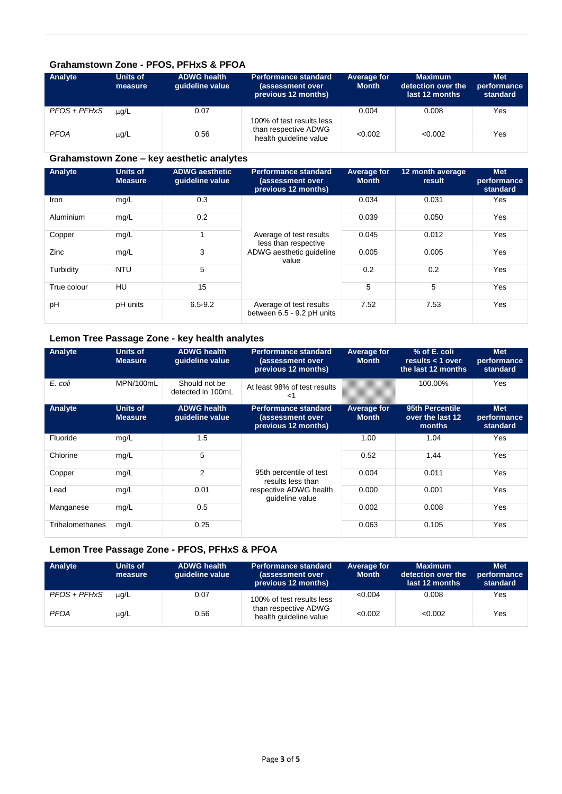#### **Grahamstown Zone - PFOS, PFHxS & PFOA**

| Analyte      | Units of<br>measure | <b>ADWG health</b><br>quideline value | <b>Performance standard</b><br>(assessment over<br>previous 12 months) | Average for<br><b>Month</b> | <b>Maximum</b><br>detection over the<br>last 12 months | <b>Met</b><br>performance<br>standard |
|--------------|---------------------|---------------------------------------|------------------------------------------------------------------------|-----------------------------|--------------------------------------------------------|---------------------------------------|
| PFOS + PFHxS | ug/L                | 0.07                                  | 100% of test results less                                              | 0.004                       | 0.008                                                  | Yes                                   |
| <b>PFOA</b>  | $\mu$ g/L           | 0.56                                  | than respective ADWG<br>health quideline value                         | < 0.002                     | < 0.002                                                | Yes                                   |

### **Grahamstown Zone – key aesthetic analytes**

| Analyte     | <b>Units of</b><br><b>Measure</b> | <b>ADWG aesthetic</b><br>quideline value | <b>Performance standard</b><br>(assessment over<br>previous 12 months) | Average for<br><b>Month</b> | 12 month average<br>result | <b>Met</b><br>performance<br>standard |
|-------------|-----------------------------------|------------------------------------------|------------------------------------------------------------------------|-----------------------------|----------------------------|---------------------------------------|
| Iron        | mg/L                              | 0.3                                      | Average of test results<br>less than respective                        | 0.034                       | 0.031                      | Yes                                   |
| Aluminium   | mg/L                              | 0.2                                      |                                                                        | 0.039                       | 0.050                      | Yes                                   |
| Copper      | mg/L                              |                                          |                                                                        | 0.045                       | 0.012                      | Yes                                   |
| Zinc        | mg/L                              | 3                                        | ADWG aesthetic guideline<br>value                                      | 0.005                       | 0.005                      | Yes                                   |
| Turbidity   | <b>NTU</b>                        | 5                                        |                                                                        | 0.2                         | 0.2                        | Yes                                   |
| True colour | HU                                | 15                                       |                                                                        | 5                           | 5                          | Yes                                   |
| pH          | pH units                          | $6.5 - 9.2$                              | Average of test results<br>between 6.5 - 9.2 pH units                  | 7.52                        | 7.53                       | Yes                                   |

## **Lemon Tree Passage Zone - key health analytes**

| Analyte         | <b>Units of</b><br><b>Measure</b> | <b>ADWG health</b><br>quideline value | <b>Performance standard</b><br>(assessment over<br>previous 12 months) | <b>Average for</b><br><b>Month</b> | % of E. coli<br>results $<$ 1 over<br>the last 12 months | <b>Met</b><br>performance<br>standard |
|-----------------|-----------------------------------|---------------------------------------|------------------------------------------------------------------------|------------------------------------|----------------------------------------------------------|---------------------------------------|
| E. coli         | MPN/100mL                         | Should not be<br>detected in 100mL    | At least 98% of test results<br><1                                     |                                    | 100.00%                                                  | Yes                                   |
| Analyte         | <b>Units of</b><br><b>Measure</b> | <b>ADWG health</b><br>quideline value | <b>Performance standard</b><br>(assessment over<br>previous 12 months) | Average for<br><b>Month</b>        | 95th Percentile<br>over the last 12<br>months            | <b>Met</b><br>performance<br>standard |
| Fluoride        | mg/L                              | 1.5                                   |                                                                        | 1.00                               | 1.04                                                     | Yes                                   |
| Chlorine        | mg/L                              | 5                                     |                                                                        | 0.52                               | 1.44                                                     | Yes                                   |
| Copper          | mg/L                              | 2                                     | 95th percentile of test<br>results less than                           | 0.004                              | 0.011                                                    | Yes                                   |
| Lead            | mg/L                              | 0.01                                  | respective ADWG health<br>quideline value                              | 0.000                              | 0.001                                                    | Yes                                   |
| Manganese       | mg/L                              | 0.5                                   |                                                                        | 0.002                              | 0.008                                                    | Yes                                   |
| Trihalomethanes | mg/L                              | 0.25                                  |                                                                        | 0.063                              | 0.105                                                    | Yes                                   |

### **Lemon Tree Passage Zone - PFOS, PFHxS & PFOA**

| Analyte      | Units of<br>measure | <b>ADWG health</b><br>quideline value | <b>Performance standard</b><br>(assessment over<br>previous 12 months) | Average for<br><b>Month</b> | <b>Maximum</b><br>detection over the<br>last 12 months | <b>Met</b><br>performance<br>standard |
|--------------|---------------------|---------------------------------------|------------------------------------------------------------------------|-----------------------------|--------------------------------------------------------|---------------------------------------|
| PFOS + PFHxS | $\mu$ q/L           | 0.07                                  | 100% of test results less<br>than respective ADWG                      | < 0.004                     | 0.008                                                  | Yes                                   |
| <b>PFOA</b>  | $\mu$ g/L           | 0.56                                  | health quideline value                                                 | < 0.002                     | < 0.002                                                | Yes                                   |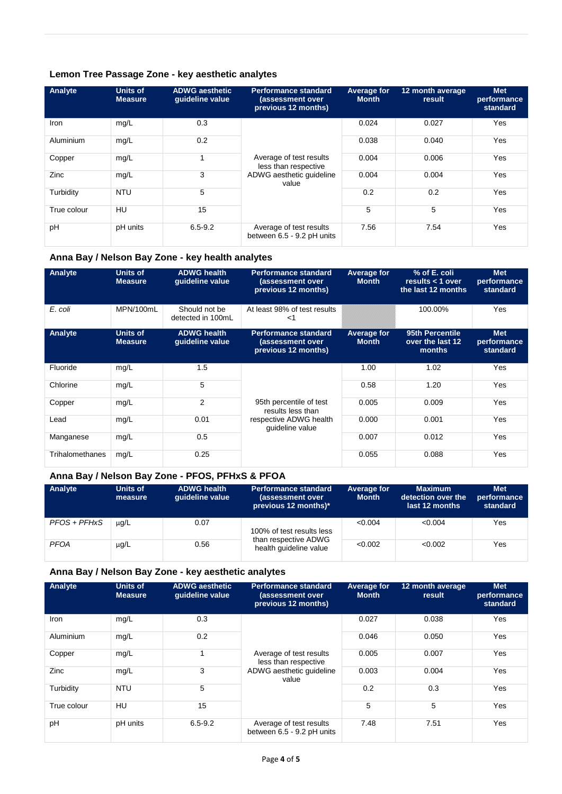#### **Lemon Tree Passage Zone - key aesthetic analytes**

| Analyte     | Units of<br><b>Measure</b> | <b>ADWG aesthetic</b><br>quideline value | <b>Performance standard</b><br>(assessment over<br>previous 12 months) | Average for<br><b>Month</b> | 12 month average<br>result | <b>Met</b><br>performance<br>standard |
|-------------|----------------------------|------------------------------------------|------------------------------------------------------------------------|-----------------------------|----------------------------|---------------------------------------|
| <b>Iron</b> | mg/L                       | 0.3                                      | Average of test results<br>less than respective                        | 0.024                       | 0.027                      | Yes                                   |
| Aluminium   | mg/L                       | 0.2                                      |                                                                        | 0.038                       | 0.040                      | Yes                                   |
| Copper      | mg/L                       |                                          |                                                                        | 0.004                       | 0.006                      | Yes                                   |
| Zinc        | mg/L                       | 3                                        | ADWG aesthetic quideline<br>value                                      | 0.004                       | 0.004                      | Yes                                   |
| Turbidity   | <b>NTU</b>                 | 5                                        |                                                                        | 0.2                         | 0.2                        | Yes                                   |
| True colour | HU                         | 15                                       |                                                                        | 5                           | 5                          | Yes                                   |
| pH          | pH units                   | $6.5 - 9.2$                              | Average of test results<br>between 6.5 - 9.2 pH units                  | 7.56                        | 7.54                       | Yes                                   |

### **Anna Bay / Nelson Bay Zone - key health analytes**

| Analyte         | <b>Units of</b><br><b>Measure</b> | <b>ADWG health</b><br>quideline value | <b>Performance standard</b><br>(assessment over<br>previous 12 months) | <b>Average for</b><br><b>Month</b> | % of E. coli<br>results $<$ 1 over<br>the last 12 months | <b>Met</b><br>performance<br>standard |
|-----------------|-----------------------------------|---------------------------------------|------------------------------------------------------------------------|------------------------------------|----------------------------------------------------------|---------------------------------------|
| E. coli         | MPN/100mL                         | Should not be<br>detected in 100mL    | At least 98% of test results<br><1                                     |                                    | 100.00%                                                  | Yes                                   |
| Analyte         | <b>Units of</b><br><b>Measure</b> | <b>ADWG health</b><br>guideline value | <b>Performance standard</b><br>(assessment over<br>previous 12 months) | Average for<br><b>Month</b>        | 95th Percentile<br>over the last 12<br>months            | <b>Met</b><br>performance<br>standard |
| Fluoride        | mg/L                              | 1.5                                   |                                                                        | 1.00                               | 1.02                                                     | <b>Yes</b>                            |
| Chlorine        | mg/L                              | 5                                     |                                                                        | 0.58                               | 1.20                                                     | Yes                                   |
| Copper          | mg/L                              | 2                                     | 95th percentile of test<br>results less than                           | 0.005                              | 0.009                                                    | Yes                                   |
| Lead            | mg/L                              | 0.01                                  | respective ADWG health<br>guideline value                              | 0.000                              | 0.001                                                    | Yes                                   |
| Manganese       | mg/L                              | 0.5                                   |                                                                        | 0.007                              | 0.012                                                    | <b>Yes</b>                            |
| Trihalomethanes | mg/L                              | 0.25                                  |                                                                        | 0.055                              | 0.088                                                    | Yes                                   |

#### **Anna Bay / Nelson Bay Zone - PFOS, PFHxS & PFOA**

| Analyte      | Units of<br>measure | <b>ADWG health</b><br>quideline value | <b>Performance standard</b><br>(assessment over<br>previous 12 months)* | Average for<br><b>Month</b> | <b>Maximum</b><br>detection over the<br>last 12 months | <b>Met</b><br>performance<br>standard |
|--------------|---------------------|---------------------------------------|-------------------------------------------------------------------------|-----------------------------|--------------------------------------------------------|---------------------------------------|
| PFOS + PFHxS | $\mu$ g/L           | 0.07                                  | 100% of test results less                                               | < 0.004                     | < 0.004                                                | Yes                                   |
| <b>PFOA</b>  | $\mu$ g/L           | 0.56                                  | than respective ADWG<br>health quideline value                          | < 0.002                     | < 0.002                                                | Yes                                   |

#### **Anna Bay / Nelson Bay Zone - key aesthetic analytes**

| Analyte     | <b>Units of</b><br><b>Measure</b> | <b>ADWG aesthetic</b><br>quideline value | <b>Performance standard</b><br>(assessment over<br>previous 12 months) | Average for<br><b>Month</b> | 12 month average<br>result | <b>Met</b><br>performance<br>standard |
|-------------|-----------------------------------|------------------------------------------|------------------------------------------------------------------------|-----------------------------|----------------------------|---------------------------------------|
| <b>Iron</b> | mg/L                              | 0.3                                      |                                                                        | 0.027                       | 0.038                      | Yes                                   |
| Aluminium   | mg/L                              | 0.2                                      |                                                                        | 0.046                       | 0.050                      | Yes                                   |
| Copper      | mg/L                              | $\overline{A}$                           | Average of test results<br>less than respective                        | 0.005                       | 0.007                      | Yes                                   |
| Zinc        | mg/L                              | 3                                        | ADWG aesthetic quideline<br>value                                      | 0.003                       | 0.004                      | Yes                                   |
| Turbidity   | <b>NTU</b>                        | 5                                        |                                                                        | 0.2                         | 0.3                        | Yes                                   |
| True colour | HU                                | 15                                       |                                                                        | 5                           | 5                          | Yes                                   |
| pH          | pH units                          | $6.5 - 9.2$                              | Average of test results<br>between 6.5 - 9.2 pH units                  | 7.48                        | 7.51                       | Yes                                   |